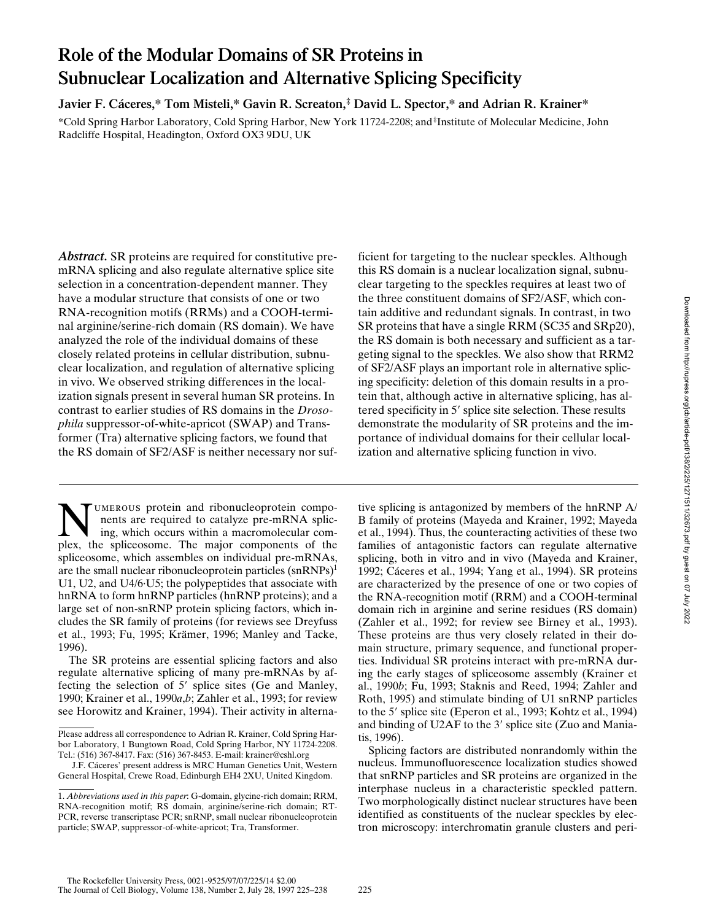# **Role of the Modular Domains of SR Proteins in Subnuclear Localization and Alternative Splicing Specificity**

**Javier F. Cáceres,\* Tom Misteli,\* Gavin R. Screaton,‡ David L. Spector,\* and Adrian R. Krainer\***

\*Cold Spring Harbor Laboratory, Cold Spring Harbor, New York 11724-2208; and ‡ Institute of Molecular Medicine, John Radcliffe Hospital, Headington, Oxford OX3 9DU, UK

*Abstract.* SR proteins are required for constitutive premRNA splicing and also regulate alternative splice site selection in a concentration-dependent manner. They have a modular structure that consists of one or two RNA-recognition motifs (RRMs) and a COOH-terminal arginine/serine-rich domain (RS domain). We have analyzed the role of the individual domains of these closely related proteins in cellular distribution, subnuclear localization, and regulation of alternative splicing in vivo. We observed striking differences in the localization signals present in several human SR proteins. In contrast to earlier studies of RS domains in the *Drosophila* suppressor-of-white-apricot (SWAP) and Transformer (Tra) alternative splicing factors, we found that the RS domain of SF2/ASF is neither necessary nor suf-

UMEROUS protein and ribonucleoprotein components are required to catalyze pre-mRNA splicing, which occurs within a macromolecular complex, the spliceosome. The major components of the spliceosome, which assembles on individual pre-mRNAs, are the small nuclear ribonucleoprotein particles (snRNPs)<sup>1</sup> U1, U2, and U4/6·U5; the polypeptides that associate with hnRNA to form hnRNP particles (hnRNP proteins); and a large set of non-snRNP protein splicing factors, which includes the SR family of proteins (for reviews see Dreyfuss et al., 1993; Fu, 1995; Krämer, 1996; Manley and Tacke, 1996).

The SR proteins are essential splicing factors and also regulate alternative splicing of many pre-mRNAs by affecting the selection of  $5'$  splice sites (Ge and Manley, 1990; Krainer et al., 1990*a*,*b*; Zahler et al., 1993; for review see Horowitz and Krainer, 1994). Their activity in alternaficient for targeting to the nuclear speckles. Although this RS domain is a nuclear localization signal, subnuclear targeting to the speckles requires at least two of the three constituent domains of SF2/ASF, which contain additive and redundant signals. In contrast, in two SR proteins that have a single RRM (SC35 and SRp20), the RS domain is both necessary and sufficient as a targeting signal to the speckles. We also show that RRM2 of SF2/ASF plays an important role in alternative splicing specificity: deletion of this domain results in a protein that, although active in alternative splicing, has altered specificity in 5' splice site selection. These results demonstrate the modularity of SR proteins and the importance of individual domains for their cellular localization and alternative splicing function in vivo.

tive splicing is antagonized by members of the hnRNP A/ B family of proteins (Mayeda and Krainer, 1992; Mayeda et al., 1994). Thus, the counteracting activities of these two families of antagonistic factors can regulate alternative splicing, both in vitro and in vivo (Mayeda and Krainer, 1992; Cáceres et al., 1994; Yang et al., 1994). SR proteins are characterized by the presence of one or two copies of the RNA-recognition motif (RRM) and a COOH-terminal domain rich in arginine and serine residues (RS domain) (Zahler et al., 1992; for review see Birney et al., 1993). These proteins are thus very closely related in their domain structure, primary sequence, and functional properties. Individual SR proteins interact with pre-mRNA during the early stages of spliceosome assembly (Krainer et al., 1990*b*; Fu, 1993; Staknis and Reed, 1994; Zahler and Roth, 1995) and stimulate binding of U1 snRNP particles to the 5' splice site (Eperon et al., 1993; Kohtz et al., 1994) and binding of U2AF to the 3' splice site (Zuo and Maniatis, 1996).

Splicing factors are distributed nonrandomly within the nucleus. Immunofluorescence localization studies showed that snRNP particles and SR proteins are organized in the interphase nucleus in a characteristic speckled pattern. Two morphologically distinct nuclear structures have been identified as constituents of the nuclear speckles by electron microscopy: interchromatin granule clusters and peri-

Please address all correspondence to Adrian R. Krainer, Cold Spring Harbor Laboratory, 1 Bungtown Road, Cold Spring Harbor, NY 11724-2208. Tel.: (516) 367-8417. Fax: (516) 367-8453. E-mail: krainer@cshl.org

J.F. Cáceres' present address is MRC Human Genetics Unit, Western General Hospital, Crewe Road, Edinburgh EH4 2XU, United Kingdom.

<sup>1.</sup> *Abbreviations used in this paper*: G-domain, glycine-rich domain; RRM, RNA-recognition motif; RS domain, arginine/serine-rich domain; RT-PCR, reverse transcriptase PCR; snRNP, small nuclear ribonucleoprotein particle; SWAP, suppressor-of-white-apricot; Tra, Transformer.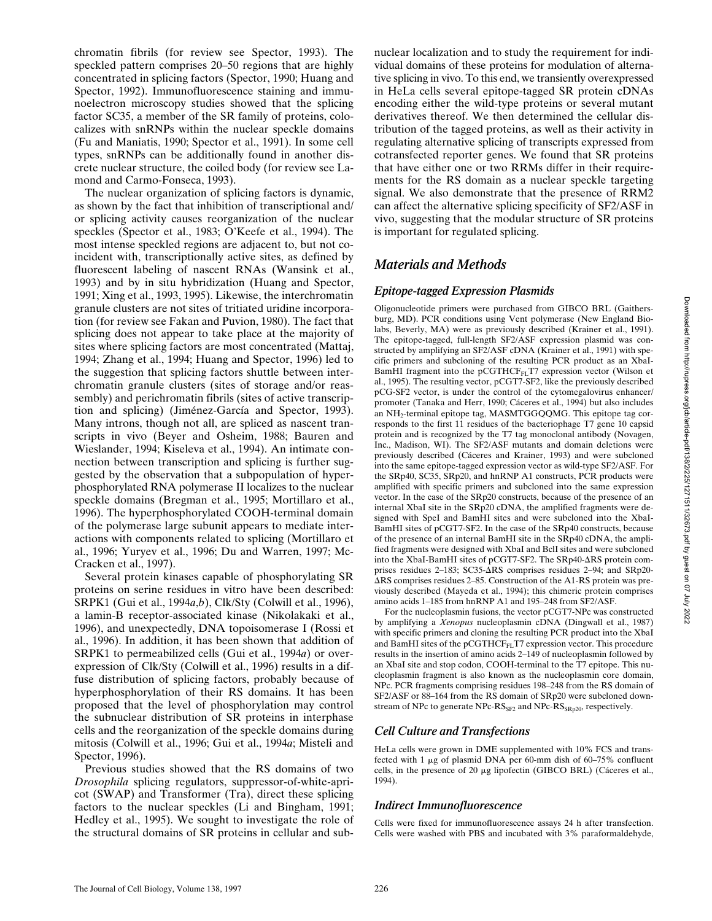chromatin fibrils (for review see Spector, 1993). The speckled pattern comprises 20–50 regions that are highly concentrated in splicing factors (Spector, 1990; Huang and Spector, 1992). Immunofluorescence staining and immunoelectron microscopy studies showed that the splicing factor SC35, a member of the SR family of proteins, colocalizes with snRNPs within the nuclear speckle domains (Fu and Maniatis, 1990; Spector et al., 1991). In some cell types, snRNPs can be additionally found in another discrete nuclear structure, the coiled body (for review see Lamond and Carmo-Fonseca, 1993).

The nuclear organization of splicing factors is dynamic, as shown by the fact that inhibition of transcriptional and/ or splicing activity causes reorganization of the nuclear speckles (Spector et al., 1983; O'Keefe et al., 1994). The most intense speckled regions are adjacent to, but not coincident with, transcriptionally active sites, as defined by fluorescent labeling of nascent RNAs (Wansink et al., 1993) and by in situ hybridization (Huang and Spector, 1991; Xing et al., 1993, 1995). Likewise, the interchromatin granule clusters are not sites of tritiated uridine incorporation (for review see Fakan and Puvion, 1980). The fact that splicing does not appear to take place at the majority of sites where splicing factors are most concentrated (Mattaj, 1994; Zhang et al., 1994; Huang and Spector, 1996) led to the suggestion that splicing factors shuttle between interchromatin granule clusters (sites of storage and/or reassembly) and perichromatin fibrils (sites of active transcription and splicing) (Jiménez-García and Spector, 1993). Many introns, though not all, are spliced as nascent transcripts in vivo (Beyer and Osheim, 1988; Bauren and Wieslander, 1994; Kiseleva et al., 1994). An intimate connection between transcription and splicing is further suggested by the observation that a subpopulation of hyperphosphorylated RNA polymerase II localizes to the nuclear speckle domains (Bregman et al., 1995; Mortillaro et al., 1996). The hyperphosphorylated COOH-terminal domain of the polymerase large subunit appears to mediate interactions with components related to splicing (Mortillaro et al., 1996; Yuryev et al., 1996; Du and Warren, 1997; Mc-Cracken et al., 1997).

Several protein kinases capable of phosphorylating SR proteins on serine residues in vitro have been described: SRPK1 (Gui et al., 1994*a*,*b*), Clk/Sty (Colwill et al., 1996), a lamin-B receptor-associated kinase (Nikolakaki et al., 1996), and unexpectedly, DNA topoisomerase I (Rossi et al., 1996). In addition, it has been shown that addition of SRPK1 to permeabilized cells (Gui et al., 1994*a*) or overexpression of Clk/Sty (Colwill et al., 1996) results in a diffuse distribution of splicing factors, probably because of hyperphosphorylation of their RS domains. It has been proposed that the level of phosphorylation may control the subnuclear distribution of SR proteins in interphase cells and the reorganization of the speckle domains during mitosis (Colwill et al., 1996; Gui et al., 1994*a*; Misteli and Spector, 1996).

Previous studies showed that the RS domains of two *Drosophila* splicing regulators, suppressor-of-white-apricot (SWAP) and Transformer (Tra), direct these splicing factors to the nuclear speckles (Li and Bingham, 1991; Hedley et al., 1995). We sought to investigate the role of the structural domains of SR proteins in cellular and sub-

nuclear localization and to study the requirement for individual domains of these proteins for modulation of alternative splicing in vivo. To this end, we transiently overexpressed in HeLa cells several epitope-tagged SR protein cDNAs encoding either the wild-type proteins or several mutant derivatives thereof. We then determined the cellular distribution of the tagged proteins, as well as their activity in regulating alternative splicing of transcripts expressed from cotransfected reporter genes. We found that SR proteins that have either one or two RRMs differ in their requirements for the RS domain as a nuclear speckle targeting signal. We also demonstrate that the presence of RRM2 can affect the alternative splicing specificity of SF2/ASF in vivo, suggesting that the modular structure of SR proteins is important for regulated splicing.

## *Materials and Methods*

#### *Epitope-tagged Expression Plasmids*

Oligonucleotide primers were purchased from GIBCO BRL (Gaithersburg, MD). PCR conditions using Vent polymerase (New England Biolabs, Beverly, MA) were as previously described (Krainer et al., 1991). The epitope-tagged, full-length SF2/ASF expression plasmid was constructed by amplifying an SF2/ASF cDNA (Krainer et al., 1991) with specific primers and subcloning of the resulting PCR product as an XbaI-BamHI fragment into the pCGTHCF $_{FI}$ T7 expression vector (Wilson et al., 1995). The resulting vector, pCGT7-SF2, like the previously described pCG-SF2 vector, is under the control of the cytomegalovirus enhancer/ promoter (Tanaka and Herr, 1990; Cáceres et al., 1994) but also includes an NH<sub>2</sub>-terminal epitope tag, MASMTGGQQMG. This epitope tag corresponds to the first 11 residues of the bacteriophage T7 gene 10 capsid protein and is recognized by the T7 tag monoclonal antibody (Novagen, Inc., Madison, WI). The SF2/ASF mutants and domain deletions were previously described (Cáceres and Krainer, 1993) and were subcloned into the same epitope-tagged expression vector as wild-type SF2/ASF. For the SRp40, SC35, SRp20, and hnRNP A1 constructs, PCR products were amplified with specific primers and subcloned into the same expression vector. In the case of the SRp20 constructs, because of the presence of an internal XbaI site in the SRp20 cDNA, the amplified fragments were designed with SpeI and BamHI sites and were subcloned into the XbaI-BamHI sites of pCGT7-SF2. In the case of the SRp40 constructs, because of the presence of an internal BamHI site in the SRp40 cDNA, the amplified fragments were designed with XbaI and BclI sites and were subcloned into the XbaI-BamHI sites of pCGT7-SF2. The  $SRp40-ARS$  protein comprises residues 2–183; SC35-DRS comprises residues 2–94; and SRp20-  $\overline{\Delta}$ RS comprises residues 2–85. Construction of the A1-RS protein was previously described (Mayeda et al., 1994); this chimeric protein comprises amino acids 1–185 from hnRNP A1 and 195–248 from SF2/ASF.

For the nucleoplasmin fusions, the vector pCGT7-NPc was constructed by amplifying a *Xenopus* nucleoplasmin cDNA (Dingwall et al., 1987) with specific primers and cloning the resulting PCR product into the XbaI and BamHI sites of the pCGTHCF $_{\text{FL}}$ T7 expression vector. This procedure results in the insertion of amino acids 2–149 of nucleoplasmin followed by an XbaI site and stop codon, COOH-terminal to the T7 epitope. This nucleoplasmin fragment is also known as the nucleoplasmin core domain, NPc. PCR fragments comprising residues 198–248 from the RS domain of SF2/ASF or 88–164 from the RS domain of SRp20 were subcloned downstream of NPc to generate  $NPC-RS_{SP2}$  and  $NPC-RS_{SRn20}$ , respectively.

### *Cell Culture and Transfections*

HeLa cells were grown in DME supplemented with 10% FCS and transfected with 1  $\mu$ g of plasmid DNA per 60-mm dish of 60–75% confluent cells, in the presence of 20 mg lipofectin (GIBCO BRL) (Cáceres et al., 1994).

#### *Indirect Immunofluorescence*

Cells were fixed for immunofluorescence assays 24 h after transfection. Cells were washed with PBS and incubated with 3% paraformaldehyde,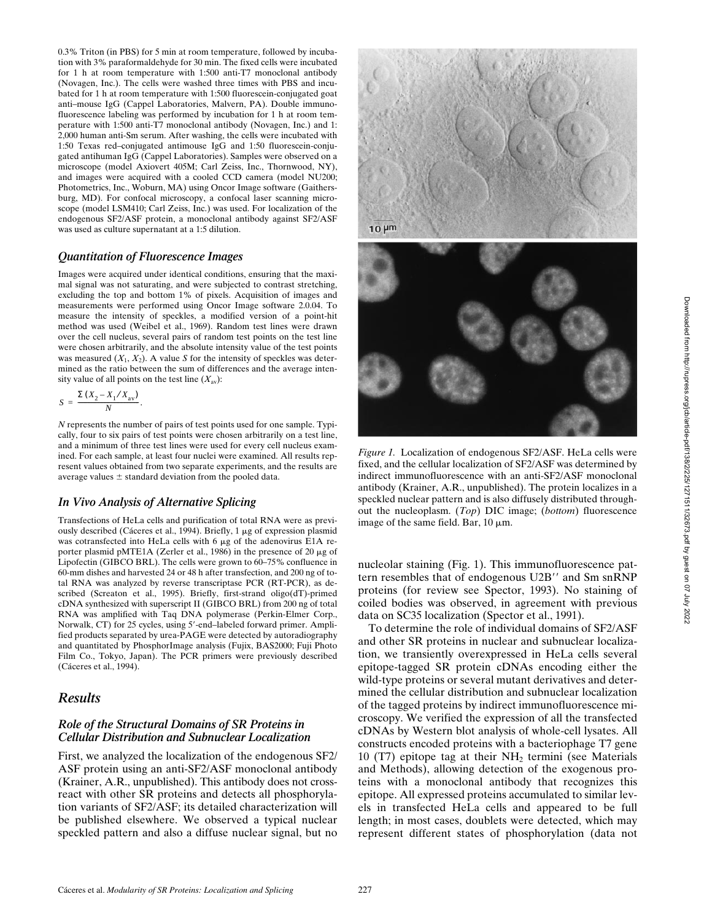0.3% Triton (in PBS) for 5 min at room temperature, followed by incubation with 3% paraformaldehyde for 30 min. The fixed cells were incubated for 1 h at room temperature with 1:500 anti-T7 monoclonal antibody (Novagen, Inc.). The cells were washed three times with PBS and incubated for 1 h at room temperature with 1:500 fluorescein-conjugated goat anti–mouse IgG (Cappel Laboratories, Malvern, PA). Double immunofluorescence labeling was performed by incubation for 1 h at room temperature with 1:500 anti-T7 monoclonal antibody (Novagen, Inc.) and 1: 2,000 human anti-Sm serum. After washing, the cells were incubated with 1:50 Texas red–conjugated antimouse IgG and 1:50 fluorescein-conjugated antihuman IgG (Cappel Laboratories). Samples were observed on a microscope (model Axiovert 405M; Carl Zeiss, Inc., Thornwood, NY), and images were acquired with a cooled CCD camera (model NU200; Photometrics, Inc., Woburn, MA) using Oncor Image software (Gaithersburg, MD). For confocal microscopy, a confocal laser scanning microscope (model LSM410; Carl Zeiss, Inc.) was used. For localization of the endogenous SF2/ASF protein, a monoclonal antibody against SF2/ASF was used as culture supernatant at a 1:5 dilution.

#### *Quantitation of Fluorescence Images*

Images were acquired under identical conditions, ensuring that the maximal signal was not saturating, and were subjected to contrast stretching, excluding the top and bottom 1% of pixels. Acquisition of images and measurements were performed using Oncor Image software 2.0.04. To measure the intensity of speckles, a modified version of a point-hit method was used (Weibel et al., 1969). Random test lines were drawn over the cell nucleus, several pairs of random test points on the test line were chosen arbitrarily, and the absolute intensity value of the test points was measured  $(X_1, X_2)$ . A value *S* for the intensity of speckles was determined as the ratio between the sum of differences and the average intensity value of all points on the test line  $(X_{av})$ :

$$
S = \frac{\Sigma (X_2 - X_1 / X_{\rm av})}{N}.
$$

*N* represents the number of pairs of test points used for one sample. Typically, four to six pairs of test points were chosen arbitrarily on a test line, and a minimum of three test lines were used for every cell nucleus examined. For each sample, at least four nuclei were examined. All results represent values obtained from two separate experiments, and the results are average values  $\pm$  standard deviation from the pooled data.

#### *In Vivo Analysis of Alternative Splicing*

Transfections of HeLa cells and purification of total RNA were as previously described (Cáceres et al., 1994). Briefly,  $1 \mu$ g of expression plasmid was cotransfected into HeLa cells with 6 µg of the adenovirus E1A reporter plasmid pMTE1A (Zerler et al., 1986) in the presence of 20  $\mu$ g of Lipofectin (GIBCO BRL). The cells were grown to 60–75% confluence in 60-mm dishes and harvested 24 or 48 h after transfection, and 200 ng of total RNA was analyzed by reverse transcriptase PCR (RT-PCR), as described (Screaton et al., 1995). Briefly, first-strand oligo(dT)-primed cDNA synthesized with superscript II (GIBCO BRL) from 200 ng of total RNA was amplified with Taq DNA polymerase (Perkin-Elmer Corp., Norwalk, CT) for 25 cycles, using 5'-end-labeled forward primer. Amplified products separated by urea-PAGE were detected by autoradiography and quantitated by PhosphorImage analysis (Fujix, BAS2000; Fuji Photo Film Co., Tokyo, Japan). The PCR primers were previously described (Cáceres et al., 1994).

#### *Results*

#### *Role of the Structural Domains of SR Proteins in Cellular Distribution and Subnuclear Localization*

First, we analyzed the localization of the endogenous SF2/ ASF protein using an anti-SF2/ASF monoclonal antibody (Krainer, A.R., unpublished). This antibody does not crossreact with other SR proteins and detects all phosphorylation variants of SF2/ASF; its detailed characterization will be published elsewhere. We observed a typical nuclear speckled pattern and also a diffuse nuclear signal, but no





*Figure 1.* Localization of endogenous SF2/ASF. HeLa cells were fixed, and the cellular localization of SF2/ASF was determined by indirect immunofluorescence with an anti-SF2/ASF monoclonal antibody (Krainer, A.R., unpublished). The protein localizes in a speckled nuclear pattern and is also diffusely distributed throughout the nucleoplasm. (*Top*) DIC image; (*bottom*) fluorescence image of the same field. Bar,  $10 \mu m$ .

nucleolar staining (Fig. 1). This immunofluorescence pattern resembles that of endogenous U2B" and Sm snRNP proteins (for review see Spector, 1993). No staining of coiled bodies was observed, in agreement with previous data on SC35 localization (Spector et al., 1991).

To determine the role of individual domains of SF2/ASF and other SR proteins in nuclear and subnuclear localization, we transiently overexpressed in HeLa cells several epitope-tagged SR protein cDNAs encoding either the wild-type proteins or several mutant derivatives and determined the cellular distribution and subnuclear localization of the tagged proteins by indirect immunofluorescence microscopy. We verified the expression of all the transfected cDNAs by Western blot analysis of whole-cell lysates. All constructs encoded proteins with a bacteriophage T7 gene 10 (T7) epitope tag at their  $NH<sub>2</sub>$  termini (see Materials and Methods), allowing detection of the exogenous proteins with a monoclonal antibody that recognizes this epitope. All expressed proteins accumulated to similar levels in transfected HeLa cells and appeared to be full length; in most cases, doublets were detected, which may represent different states of phosphorylation (data not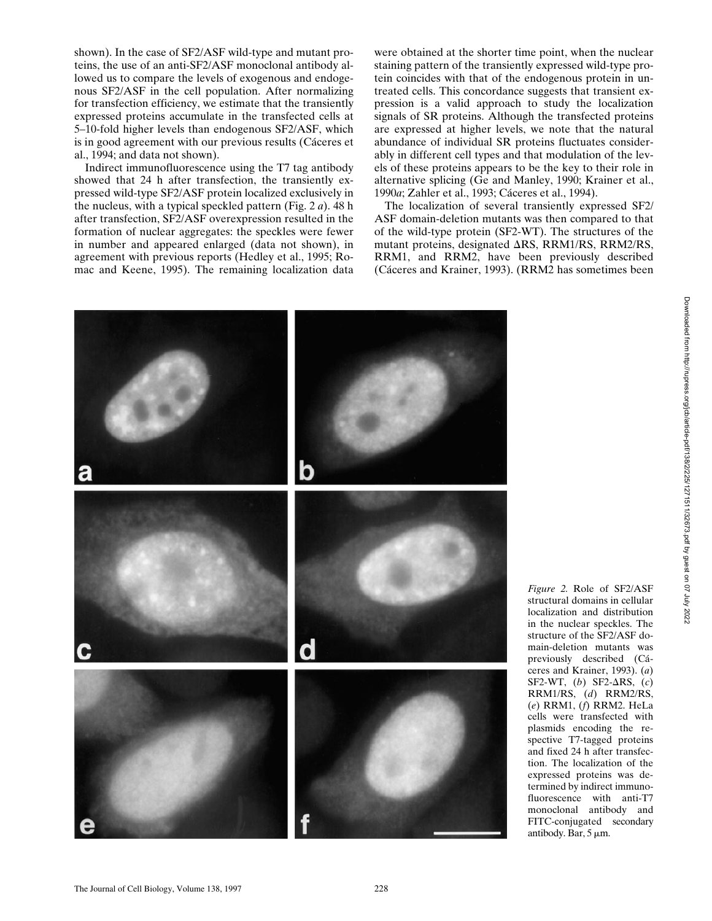shown). In the case of SF2/ASF wild-type and mutant proteins, the use of an anti-SF2/ASF monoclonal antibody allowed us to compare the levels of exogenous and endogenous SF2/ASF in the cell population. After normalizing for transfection efficiency, we estimate that the transiently expressed proteins accumulate in the transfected cells at 5–10-fold higher levels than endogenous SF2/ASF, which is in good agreement with our previous results (Cáceres et al., 1994; and data not shown).

Indirect immunofluorescence using the T7 tag antibody showed that 24 h after transfection, the transiently expressed wild-type SF2/ASF protein localized exclusively in the nucleus, with a typical speckled pattern (Fig. 2 *a*). 48 h after transfection, SF2/ASF overexpression resulted in the formation of nuclear aggregates: the speckles were fewer in number and appeared enlarged (data not shown), in agreement with previous reports (Hedley et al., 1995; Romac and Keene, 1995). The remaining localization data

were obtained at the shorter time point, when the nuclear staining pattern of the transiently expressed wild-type protein coincides with that of the endogenous protein in untreated cells. This concordance suggests that transient expression is a valid approach to study the localization signals of SR proteins. Although the transfected proteins are expressed at higher levels, we note that the natural abundance of individual SR proteins fluctuates considerably in different cell types and that modulation of the levels of these proteins appears to be the key to their role in alternative splicing (Ge and Manley, 1990; Krainer et al., 1990*a*; Zahler et al., 1993; Cáceres et al., 1994).

The localization of several transiently expressed SF2/ ASF domain-deletion mutants was then compared to that of the wild-type protein (SF2-WT). The structures of the mutant proteins, designated  $\Delta$ RS, RRM1/RS, RRM2/RS, RRM1, and RRM2, have been previously described (Cáceres and Krainer, 1993). (RRM2 has sometimes been



*Figure 2.* Role of SF2/ASF structural domains in cellular localization and distribution in the nuclear speckles. The structure of the SF2/ASF domain-deletion mutants was previously described (Cáceres and Krainer, 1993). (*a*) SF2-WT,  $(b)$  SF2- $\Delta$ RS,  $(c)$ RRM1/RS, (*d*) RRM2/RS, (*e*) RRM1, (*f*) RRM2. HeLa cells were transfected with plasmids encoding the respective T7-tagged proteins and fixed 24 h after transfection. The localization of the expressed proteins was determined by indirect immunofluorescence with anti-T7 monoclonal antibody and FITC-conjugated secondary antibody. Bar,  $5 \mu m$ .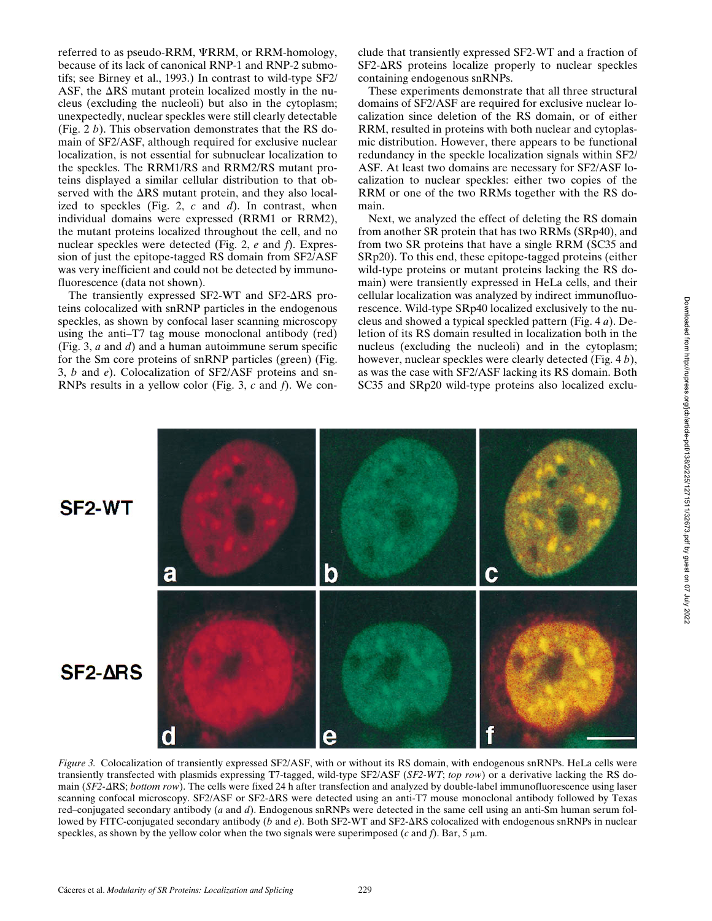referred to as pseudo-RRM,  $\Psi$ RRM, or RRM-homology, because of its lack of canonical RNP-1 and RNP-2 submotifs; see Birney et al., 1993.) In contrast to wild-type SF2/ ASF, the  $\Delta$ RS mutant protein localized mostly in the nucleus (excluding the nucleoli) but also in the cytoplasm; unexpectedly, nuclear speckles were still clearly detectable (Fig. 2 *b*). This observation demonstrates that the RS domain of SF2/ASF, although required for exclusive nuclear localization, is not essential for subnuclear localization to the speckles. The RRM1/RS and RRM2/RS mutant proteins displayed a similar cellular distribution to that observed with the  $\Delta RS$  mutant protein, and they also localized to speckles (Fig. 2, *c* and *d*). In contrast, when individual domains were expressed (RRM1 or RRM2), the mutant proteins localized throughout the cell, and no nuclear speckles were detected (Fig. 2, *e* and *f*). Expression of just the epitope-tagged RS domain from SF2/ASF was very inefficient and could not be detected by immunofluorescence (data not shown).

The transiently expressed SF2-WT and SF2- $\Delta$ RS proteins colocalized with snRNP particles in the endogenous speckles, as shown by confocal laser scanning microscopy using the anti–T7 tag mouse monoclonal antibody (red) (Fig. 3, *a* and *d*) and a human autoimmune serum specific for the Sm core proteins of snRNP particles (green) (Fig. 3, *b* and *e*). Colocalization of SF2/ASF proteins and sn-RNPs results in a yellow color (Fig. 3, *c* and *f*). We conclude that transiently expressed SF2-WT and a fraction of  $SF2-\Delta RS$  proteins localize properly to nuclear speckles containing endogenous snRNPs.

These experiments demonstrate that all three structural domains of SF2/ASF are required for exclusive nuclear localization since deletion of the RS domain, or of either RRM, resulted in proteins with both nuclear and cytoplasmic distribution. However, there appears to be functional redundancy in the speckle localization signals within SF2/ ASF. At least two domains are necessary for SF2/ASF localization to nuclear speckles: either two copies of the RRM or one of the two RRMs together with the RS domain.

Next, we analyzed the effect of deleting the RS domain from another SR protein that has two RRMs (SRp40), and from two SR proteins that have a single RRM (SC35 and SRp20). To this end, these epitope-tagged proteins (either wild-type proteins or mutant proteins lacking the RS domain) were transiently expressed in HeLa cells, and their cellular localization was analyzed by indirect immunofluorescence. Wild-type SRp40 localized exclusively to the nucleus and showed a typical speckled pattern (Fig. 4 *a*). Deletion of its RS domain resulted in localization both in the nucleus (excluding the nucleoli) and in the cytoplasm; however, nuclear speckles were clearly detected (Fig. 4 *b*), as was the case with SF2/ASF lacking its RS domain. Both SC35 and SRp20 wild-type proteins also localized exclu-



*Figure 3.* Colocalization of transiently expressed SF2/ASF, with or without its RS domain, with endogenous snRNPs. HeLa cells were transiently transfected with plasmids expressing T7-tagged, wild-type SF2/ASF (*SF2-WT*; *top row*) or a derivative lacking the RS domain (*SF2-ARS*; *bottom row*). The cells were fixed 24 h after transfection and analyzed by double-label immunofluorescence using laser scanning confocal microscopy. SF2/ASF or SF2-DRS were detected using an anti-T7 mouse monoclonal antibody followed by Texas red–conjugated secondary antibody (*a* and *d*). Endogenous snRNPs were detected in the same cell using an anti-Sm human serum followed by FITC-conjugated secondary antibody (*b* and *e*). Both SF2-WT and SF2- $\Delta$ RS colocalized with endogenous snRNPs in nuclear speckles, as shown by the yellow color when the two signals were superimposed ( $c$  and  $f$ ). Bar,  $5 \mu$ m.

Downloaded from http://rupress.org/jcb/article-pdf/138/2/225/12711/32673.pdf by guest on 07 July 2022 Downloaded from http://rupress.org/jcb/article-pdf/138/2/225/1271511/32673.pdf by guest on 07 July 2022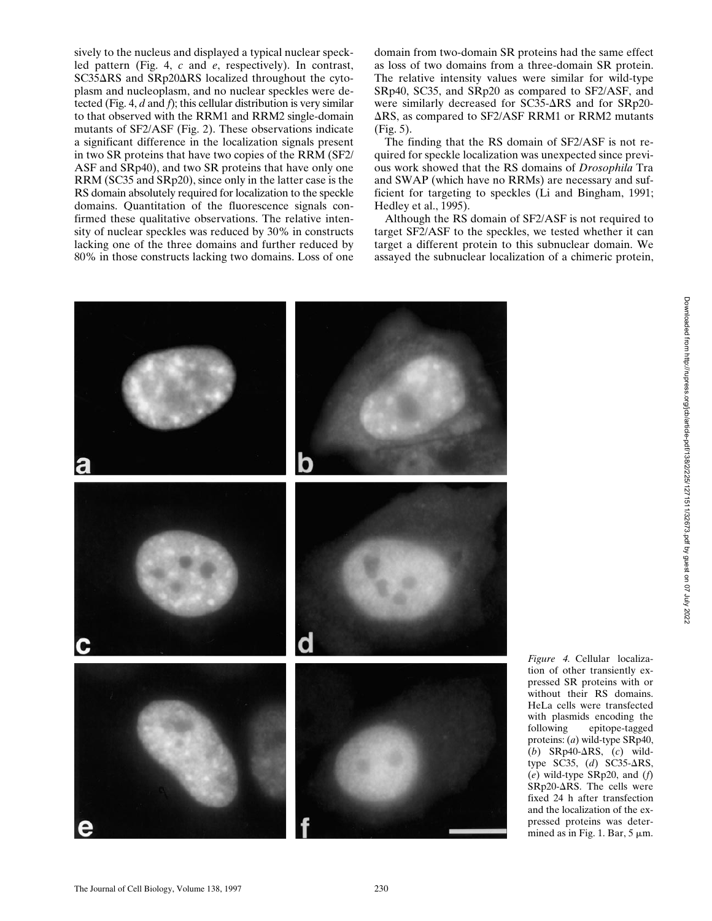sively to the nucleus and displayed a typical nuclear speckled pattern (Fig. 4, *c* and *e*, respectively). In contrast,  $SC35\Delta RS$  and  $SRp20\Delta RS$  localized throughout the cytoplasm and nucleoplasm, and no nuclear speckles were detected (Fig. 4, *d* and *f*); this cellular distribution is very similar to that observed with the RRM1 and RRM2 single-domain mutants of SF2/ASF (Fig. 2). These observations indicate a significant difference in the localization signals present in two SR proteins that have two copies of the RRM (SF2/ ASF and SRp40), and two SR proteins that have only one RRM (SC35 and SRp20), since only in the latter case is the RS domain absolutely required for localization to the speckle domains. Quantitation of the fluorescence signals confirmed these qualitative observations. The relative intensity of nuclear speckles was reduced by 30% in constructs lacking one of the three domains and further reduced by 80% in those constructs lacking two domains. Loss of one

domain from two-domain SR proteins had the same effect as loss of two domains from a three-domain SR protein. The relative intensity values were similar for wild-type SRp40, SC35, and SRp20 as compared to SF2/ASF, and were similarly decreased for  $SC35-\Delta RS$  and for  $SRp20 \Delta$ RS, as compared to SF2/ASF RRM1 or RRM2 mutants (Fig. 5).

The finding that the RS domain of SF2/ASF is not required for speckle localization was unexpected since previous work showed that the RS domains of *Drosophila* Tra and SWAP (which have no RRMs) are necessary and sufficient for targeting to speckles (Li and Bingham, 1991; Hedley et al., 1995).

Although the RS domain of SF2/ASF is not required to target SF2/ASF to the speckles, we tested whether it can target a different protein to this subnuclear domain. We assayed the subnuclear localization of a chimeric protein,



*Figure 4.* Cellular localization of other transiently expressed SR proteins with or without their RS domains. HeLa cells were transfected with plasmids encoding the following epitope-tagged proteins: (*a*) wild-type SRp40, (*b*) SRp40- $\Delta$ RS, (*c*) wildtype SC35, (d) SC35- $\Delta$ RS, (*e*) wild-type SRp20, and (*f*)  $SRp20-ARS$ . The cells were fixed 24 h after transfection and the localization of the expressed proteins was determined as in Fig. 1. Bar,  $5 \mu m$ .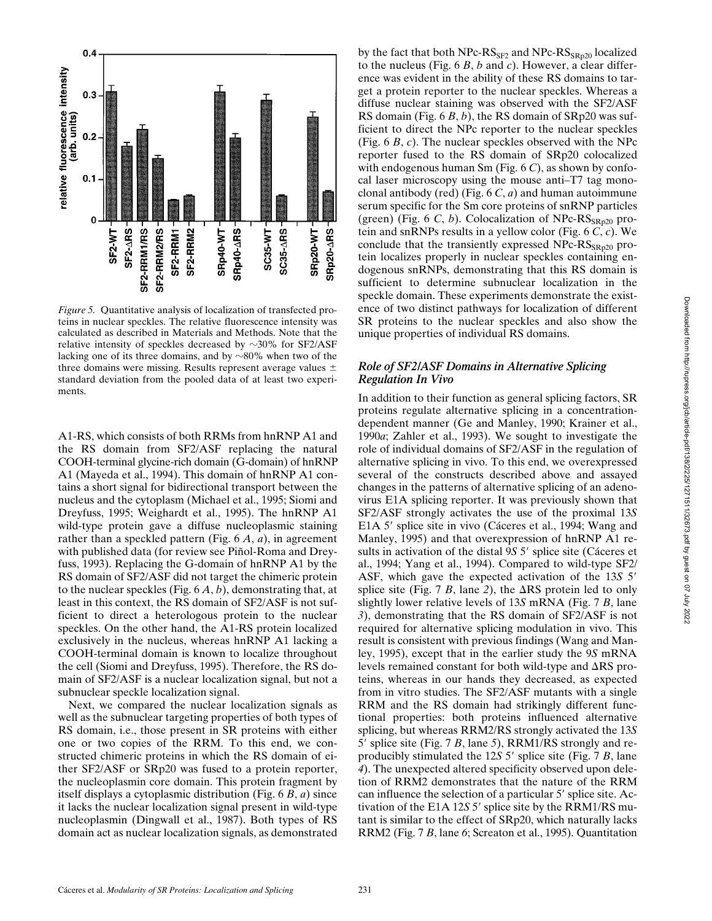

*Figure 5.* Quantitative analysis of localization of transfected proteins in nuclear speckles. The relative fluorescence intensity was calculated as described in Materials and Methods. Note that the relative intensity of speckles decreased by  $\sim$ 30% for SF2/ASF lacking one of its three domains, and by  $\sim 80\%$  when two of the three domains were missing. Results represent average values  $\pm$ standard deviation from the pooled data of at least two experiments.

A1-RS, which consists of both RRMs from hnRNP A1 and the RS domain from SF2/ASF replacing the natural COOH-terminal glycine-rich domain (G-domain) of hnRNP A1 (Mayeda et al., 1994). This domain of hnRNP A1 contains a short signal for bidirectional transport between the nucleus and the cytoplasm (Michael et al., 1995; Siomi and Dreyfuss, 1995; Weighardt et al., 1995). The hnRNP A1 wild-type protein gave a diffuse nucleoplasmic staining rather than a speckled pattern (Fig. 6 *A*, *a*), in agreement with published data (for review see Piñol-Roma and Dreyfuss, 1993). Replacing the G-domain of hnRNP A1 by the RS domain of SF2/ASF did not target the chimeric protein to the nuclear speckles (Fig. 6 *A*, *b*), demonstrating that, at least in this context, the RS domain of SF2/ASF is not sufficient to direct a heterologous protein to the nuclear speckles. On the other hand, the A1-RS protein localized exclusively in the nucleus, whereas hnRNP A1 lacking a COOH-terminal domain is known to localize throughout the cell (Siomi and Dreyfuss, 1995). Therefore, the RS domain of SF2/ASF is a nuclear localization signal, but not a subnuclear speckle localization signal.

Next, we compared the nuclear localization signals as well as the subnuclear targeting properties of both types of RS domain, i.e., those present in SR proteins with either one or two copies of the RRM. To this end, we constructed chimeric proteins in which the RS domain of either SF2/ASF or SRp20 was fused to a protein reporter, the nucleoplasmin core domain. This protein fragment by itself displays a cytoplasmic distribution (Fig. 6 *B*, *a*) since it lacks the nuclear localization signal present in wild-type nucleoplasmin (Dingwall et al., 1987). Both types of RS domain act as nuclear localization signals, as demonstrated

by the fact that both  $Npc-RS_{SF2}$  and  $Npc-RS_{SRD20}$  localized to the nucleus (Fig. 6 *B*, *b* and *c*). However, a clear difference was evident in the ability of these RS domains to target a protein reporter to the nuclear speckles. Whereas a diffuse nuclear staining was observed with the SF2/ASF RS domain (Fig. 6 *B*, *b*), the RS domain of SRp20 was sufficient to direct the NPc reporter to the nuclear speckles (Fig. 6 *B*, *c*). The nuclear speckles observed with the NPc reporter fused to the RS domain of SRp20 colocalized with endogenous human Sm (Fig. 6 *C*), as shown by confocal laser microscopy using the mouse anti–T7 tag monoclonal antibody (red) (Fig. 6 *C*, *a*) and human autoimmune serum specific for the Sm core proteins of snRNP particles (green) (Fig. 6  $C$ ,  $b$ ). Colocalization of NPc- $\text{RS}_{\text{SRp20}}$  protein and snRNPs results in a yellow color (Fig. 6 *C*, *c*). We conclude that the transiently expressed  $Npc-RS_{SRn20}$  protein localizes properly in nuclear speckles containing endogenous snRNPs, demonstrating that this RS domain is sufficient to determine subnuclear localization in the speckle domain. These experiments demonstrate the existence of two distinct pathways for localization of different SR proteins to the nuclear speckles and also show the unique properties of individual RS domains.

#### *Role of SF2/ASF Domains in Alternative Splicing Regulation In Vivo*

In addition to their function as general splicing factors, SR proteins regulate alternative splicing in a concentrationdependent manner (Ge and Manley, 1990; Krainer et al., 1990*a*; Zahler et al., 1993). We sought to investigate the role of individual domains of SF2/ASF in the regulation of alternative splicing in vivo. To this end, we overexpressed several of the constructs described above and assayed changes in the patterns of alternative splicing of an adenovirus E1A splicing reporter. It was previously shown that SF2/ASF strongly activates the use of the proximal 13*S* E1A 5' splice site in vivo (Cáceres et al., 1994; Wang and Manley, 1995) and that overexpression of hnRNP A1 results in activation of the distal 9*S* 5' splice site (Cáceres et al., 1994; Yang et al., 1994). Compared to wild-type SF2/ ASF, which gave the expected activation of the 13*S* 5' splice site (Fig. 7 *B*, lane 2), the  $\Delta RS$  protein led to only slightly lower relative levels of 13*S* mRNA (Fig. 7 *B*, lane *3*), demonstrating that the RS domain of SF2/ASF is not required for alternative splicing modulation in vivo. This result is consistent with previous findings (Wang and Manley, 1995), except that in the earlier study the 9*S* mRNA levels remained constant for both wild-type and  $\Delta RS$  proteins, whereas in our hands they decreased, as expected from in vitro studies. The SF2/ASF mutants with a single RRM and the RS domain had strikingly different functional properties: both proteins influenced alternative splicing, but whereas RRM2/RS strongly activated the 13*S* 5' splice site (Fig. 7 *B*, lane 5), RRM1/RS strongly and reproducibly stimulated the 12*S* 5' splice site (Fig. 7 *B*, lane *4*). The unexpected altered specificity observed upon deletion of RRM2 demonstrates that the nature of the RRM can influence the selection of a particular 5' splice site. Activation of the E1A  $12S$  5' splice site by the RRM1/RS mutant is similar to the effect of SRp20, which naturally lacks RRM2 (Fig. 7 *B*, lane *6*; Screaton et al., 1995). Quantitation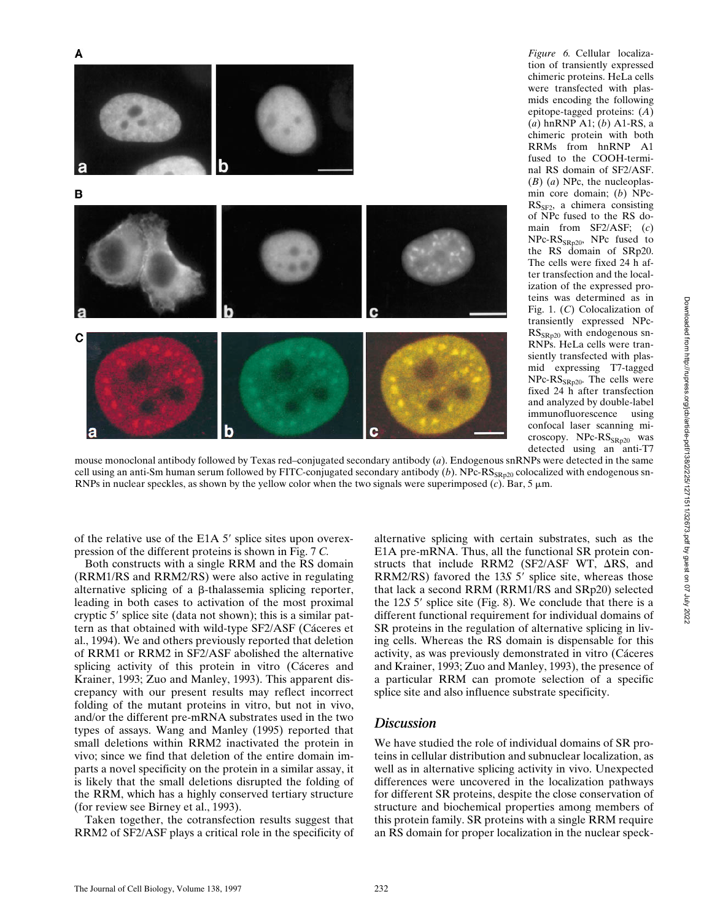

mids encoding the following epitope-tagged proteins: (*A*) (*a*) hnRNP A1; (*b*) A1-RS, a chimeric protein with both RRMs from hnRNP A1 fused to the COOH-terminal RS domain of SF2/ASF. (*B*) (*a*) NPc, the nucleoplasmin core domain; (*b*) NPc- $RS_{SF2}$ , a chimera consisting of NPc fused to the RS domain from SF2/ASF; (*c*) NPc-RS<sub>SRp20</sub>, NPc fused to the RS domain of SRp20. The cells were fixed 24 h after transfection and the localization of the expressed proteins was determined as in Fig. 1. (*C*) Colocalization of transiently expressed NPc-RS<sub>SRp20</sub> with endogenous sn-RNPs. HeLa cells were transiently transfected with plasmid expressing T7-tagged  $NPc-RS_{SRD20}$ . The cells were fixed 24 h after transfection and analyzed by double-label immunofluorescence using confocal laser scanning microscopy. NPc-RS<sub>SRp20</sub> was detected using an anti-T7

*Figure 6.* Cellular localization of transiently expressed chimeric proteins. HeLa cells were transfected with plas-

mouse monoclonal antibody followed by Texas red–conjugated secondary antibody (*a*). Endogenous snRNPs were detected in the same cell using an anti-Sm human serum followed by FITC-conjugated secondary antibody (b). NPc-RS<sub>SRp20</sub> colocalized with endogenous sn-RNPs in nuclear speckles, as shown by the yellow color when the two signals were superimposed  $(c)$ . Bar, 5  $\mu$ m.

of the relative use of the E1A  $5'$  splice sites upon overexpression of the different proteins is shown in Fig. 7 *C.*

Both constructs with a single RRM and the RS domain (RRM1/RS and RRM2/RS) were also active in regulating alternative splicing of a  $\beta$ -thalassemia splicing reporter, leading in both cases to activation of the most proximal cryptic 5 $^{\prime}$  splice site (data not shown); this is a similar pattern as that obtained with wild-type SF2/ASF (Cáceres et al., 1994). We and others previously reported that deletion of RRM1 or RRM2 in SF2/ASF abolished the alternative splicing activity of this protein in vitro (Cáceres and Krainer, 1993; Zuo and Manley, 1993). This apparent discrepancy with our present results may reflect incorrect folding of the mutant proteins in vitro, but not in vivo, and/or the different pre-mRNA substrates used in the two types of assays. Wang and Manley (1995) reported that small deletions within RRM2 inactivated the protein in vivo; since we find that deletion of the entire domain imparts a novel specificity on the protein in a similar assay, it is likely that the small deletions disrupted the folding of the RRM, which has a highly conserved tertiary structure (for review see Birney et al., 1993).

Taken together, the cotransfection results suggest that RRM2 of SF2/ASF plays a critical role in the specificity of

alternative splicing with certain substrates, such as the E1A pre-mRNA. Thus, all the functional SR protein constructs that include RRM2 (SF2/ASF WT,  $\Delta$ RS, and RRM2/RS) favored the 13S 5' splice site, whereas those that lack a second RRM (RRM1/RS and SRp20) selected the 12*S* 5' splice site (Fig. 8). We conclude that there is a different functional requirement for individual domains of SR proteins in the regulation of alternative splicing in living cells. Whereas the RS domain is dispensable for this activity, as was previously demonstrated in vitro (Cáceres and Krainer, 1993; Zuo and Manley, 1993), the presence of a particular RRM can promote selection of a specific splice site and also influence substrate specificity.

#### *Discussion*

We have studied the role of individual domains of SR proteins in cellular distribution and subnuclear localization, as well as in alternative splicing activity in vivo. Unexpected differences were uncovered in the localization pathways for different SR proteins, despite the close conservation of structure and biochemical properties among members of this protein family. SR proteins with a single RRM require an RS domain for proper localization in the nuclear speck-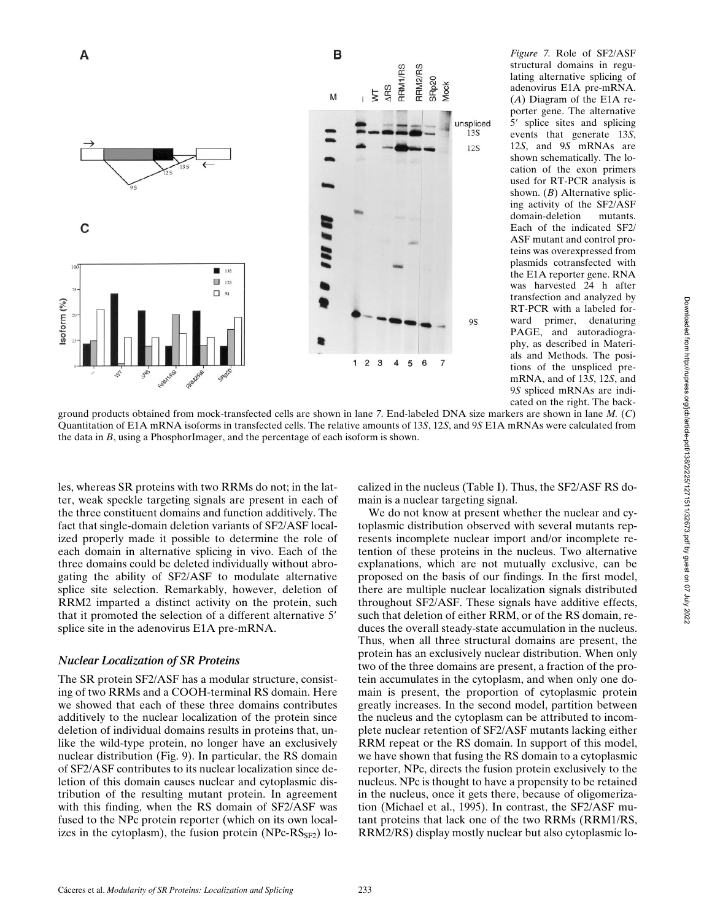

structural domains in regulating alternative splicing of adenovirus E1A pre-mRNA. (*A*) Diagram of the E1A reporter gene. The alternative 5' splice sites and splicing events that generate 13*S*, 12*S*, and 9*S* mRNAs are shown schematically. The location of the exon primers used for RT-PCR analysis is shown. (*B*) Alternative splicing activity of the SF2/ASF domain-deletion mutants. Each of the indicated SF2/ ASF mutant and control proteins was overexpressed from plasmids cotransfected with the E1A reporter gene. RNA was harvested 24 h after transfection and analyzed by RT-PCR with a labeled forward primer, denaturing PAGE, and autoradiography, as described in Materials and Methods. The positions of the unspliced premRNA, and of 13*S*, 12*S*, and 9*S* spliced mRNAs are indicated on the right. The back-

*Figure 7.* Role of SF2/ASF

ground products obtained from mock-transfected cells are shown in lane *7*. End-labeled DNA size markers are shown in lane *M.* (*C*) Quantitation of E1A mRNA isoforms in transfected cells. The relative amounts of 13*S*, 12*S*, and 9*S* E1A mRNAs were calculated from the data in *B*, using a PhosphorImager, and the percentage of each isoform is shown.

les, whereas SR proteins with two RRMs do not; in the latter, weak speckle targeting signals are present in each of the three constituent domains and function additively. The fact that single-domain deletion variants of SF2/ASF localized properly made it possible to determine the role of each domain in alternative splicing in vivo. Each of the three domains could be deleted individually without abrogating the ability of SF2/ASF to modulate alternative splice site selection. Remarkably, however, deletion of RRM2 imparted a distinct activity on the protein, such that it promoted the selection of a different alternative 5<sup>'</sup> splice site in the adenovirus E1A pre-mRNA.

#### *Nuclear Localization of SR Proteins*

The SR protein SF2/ASF has a modular structure, consisting of two RRMs and a COOH-terminal RS domain. Here we showed that each of these three domains contributes additively to the nuclear localization of the protein since deletion of individual domains results in proteins that, unlike the wild-type protein, no longer have an exclusively nuclear distribution (Fig. 9). In particular, the RS domain of SF2/ASF contributes to its nuclear localization since deletion of this domain causes nuclear and cytoplasmic distribution of the resulting mutant protein. In agreement with this finding, when the RS domain of SF2/ASF was fused to the NPc protein reporter (which on its own localizes in the cytoplasm), the fusion protein (NPc- $\text{RS}_{\text{SF2}}$ ) localized in the nucleus (Table I). Thus, the SF2/ASF RS domain is a nuclear targeting signal.

We do not know at present whether the nuclear and cytoplasmic distribution observed with several mutants represents incomplete nuclear import and/or incomplete retention of these proteins in the nucleus. Two alternative explanations, which are not mutually exclusive, can be proposed on the basis of our findings. In the first model, there are multiple nuclear localization signals distributed throughout SF2/ASF. These signals have additive effects, such that deletion of either RRM, or of the RS domain, reduces the overall steady-state accumulation in the nucleus. Thus, when all three structural domains are present, the protein has an exclusively nuclear distribution. When only two of the three domains are present, a fraction of the protein accumulates in the cytoplasm, and when only one domain is present, the proportion of cytoplasmic protein greatly increases. In the second model, partition between the nucleus and the cytoplasm can be attributed to incomplete nuclear retention of SF2/ASF mutants lacking either RRM repeat or the RS domain. In support of this model, we have shown that fusing the RS domain to a cytoplasmic reporter, NPc, directs the fusion protein exclusively to the nucleus. NPc is thought to have a propensity to be retained in the nucleus, once it gets there, because of oligomerization (Michael et al., 1995). In contrast, the SF2/ASF mutant proteins that lack one of the two RRMs (RRM1/RS, RRM2/RS) display mostly nuclear but also cytoplasmic lo-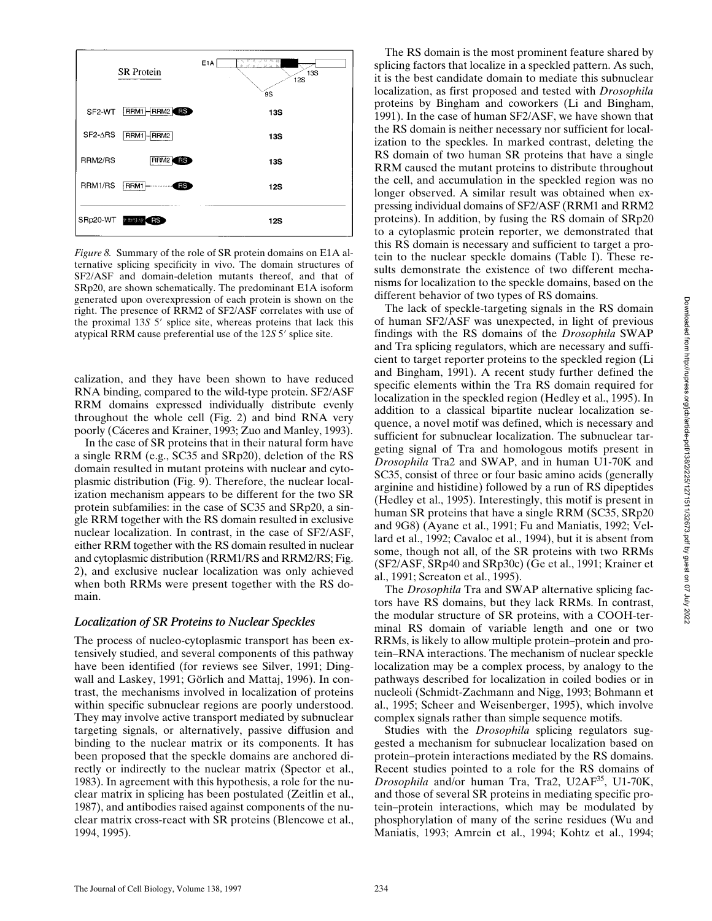

*Figure 8.* Summary of the role of SR protein domains on E1A alternative splicing specificity in vivo. The domain structures of SF2/ASF and domain-deletion mutants thereof, and that of SRp20, are shown schematically. The predominant E1A isoform generated upon overexpression of each protein is shown on the right. The presence of RRM2 of SF2/ASF correlates with use of the proximal 13*S* 5' splice site, whereas proteins that lack this atypical RRM cause preferential use of the 12*S* 5' splice site.

calization, and they have been shown to have reduced RNA binding, compared to the wild-type protein. SF2/ASF RRM domains expressed individually distribute evenly throughout the whole cell (Fig. 2) and bind RNA very poorly (Cáceres and Krainer, 1993; Zuo and Manley, 1993).

In the case of SR proteins that in their natural form have a single RRM (e.g., SC35 and SRp20), deletion of the RS domain resulted in mutant proteins with nuclear and cytoplasmic distribution (Fig. 9). Therefore, the nuclear localization mechanism appears to be different for the two SR protein subfamilies: in the case of SC35 and SRp20, a single RRM together with the RS domain resulted in exclusive nuclear localization. In contrast, in the case of SF2/ASF, either RRM together with the RS domain resulted in nuclear and cytoplasmic distribution (RRM1/RS and RRM2/RS; Fig. 2), and exclusive nuclear localization was only achieved when both RRMs were present together with the RS domain.

#### *Localization of SR Proteins to Nuclear Speckles*

The process of nucleo-cytoplasmic transport has been extensively studied, and several components of this pathway have been identified (for reviews see Silver, 1991; Dingwall and Laskey, 1991; Görlich and Mattaj, 1996). In contrast, the mechanisms involved in localization of proteins within specific subnuclear regions are poorly understood. They may involve active transport mediated by subnuclear targeting signals, or alternatively, passive diffusion and binding to the nuclear matrix or its components. It has been proposed that the speckle domains are anchored directly or indirectly to the nuclear matrix (Spector et al., 1983). In agreement with this hypothesis, a role for the nuclear matrix in splicing has been postulated (Zeitlin et al., 1987), and antibodies raised against components of the nuclear matrix cross-react with SR proteins (Blencowe et al., 1994, 1995).

The RS domain is the most prominent feature shared by splicing factors that localize in a speckled pattern. As such, it is the best candidate domain to mediate this subnuclear localization, as first proposed and tested with *Drosophila* proteins by Bingham and coworkers (Li and Bingham, 1991). In the case of human SF2/ASF, we have shown that the RS domain is neither necessary nor sufficient for localization to the speckles. In marked contrast, deleting the RS domain of two human SR proteins that have a single RRM caused the mutant proteins to distribute throughout the cell, and accumulation in the speckled region was no longer observed. A similar result was obtained when expressing individual domains of SF2/ASF (RRM1 and RRM2 proteins). In addition, by fusing the RS domain of SRp20 to a cytoplasmic protein reporter, we demonstrated that this RS domain is necessary and sufficient to target a protein to the nuclear speckle domains (Table I). These results demonstrate the existence of two different mechanisms for localization to the speckle domains, based on the different behavior of two types of RS domains.

The lack of speckle-targeting signals in the RS domain of human SF2/ASF was unexpected, in light of previous findings with the RS domains of the *Drosophila* SWAP and Tra splicing regulators, which are necessary and sufficient to target reporter proteins to the speckled region (Li and Bingham, 1991). A recent study further defined the specific elements within the Tra RS domain required for localization in the speckled region (Hedley et al., 1995). In addition to a classical bipartite nuclear localization sequence, a novel motif was defined, which is necessary and sufficient for subnuclear localization. The subnuclear targeting signal of Tra and homologous motifs present in *Drosophila* Tra2 and SWAP, and in human U1-70K and SC35, consist of three or four basic amino acids (generally arginine and histidine) followed by a run of RS dipeptides (Hedley et al., 1995). Interestingly, this motif is present in human SR proteins that have a single RRM (SC35, SRp20 and 9G8) (Ayane et al., 1991; Fu and Maniatis, 1992; Vellard et al., 1992; Cavaloc et al., 1994), but it is absent from some, though not all, of the SR proteins with two RRMs (SF2/ASF, SRp40 and SRp30c) (Ge et al., 1991; Krainer et al., 1991; Screaton et al., 1995).

The *Drosophila* Tra and SWAP alternative splicing factors have RS domains, but they lack RRMs. In contrast, the modular structure of SR proteins, with a COOH-terminal RS domain of variable length and one or two RRMs, is likely to allow multiple protein–protein and protein–RNA interactions. The mechanism of nuclear speckle localization may be a complex process, by analogy to the pathways described for localization in coiled bodies or in nucleoli (Schmidt-Zachmann and Nigg, 1993; Bohmann et al., 1995; Scheer and Weisenberger, 1995), which involve complex signals rather than simple sequence motifs.

Studies with the *Drosophila* splicing regulators suggested a mechanism for subnuclear localization based on protein–protein interactions mediated by the RS domains. Recent studies pointed to a role for the RS domains of *Drosophila* and/or human Tra, Tra2, U2AF35, U1-70K, and those of several SR proteins in mediating specific protein–protein interactions, which may be modulated by phosphorylation of many of the serine residues (Wu and Maniatis, 1993; Amrein et al., 1994; Kohtz et al., 1994;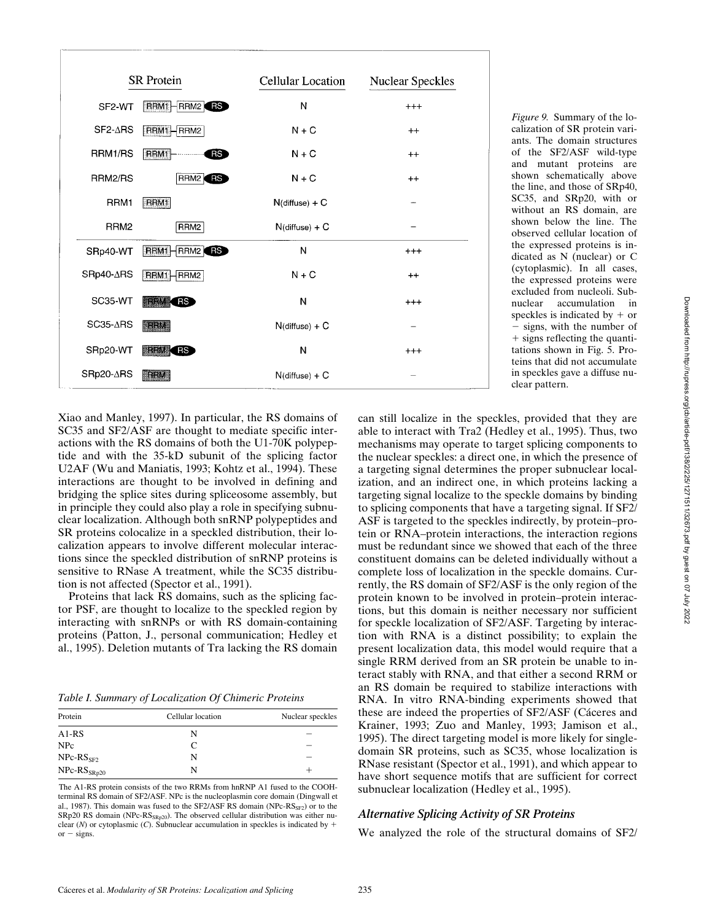| <b>SR</b> Protein |                               | <b>Cellular Location</b> | <b>Nuclear Speckles</b> |
|-------------------|-------------------------------|--------------------------|-------------------------|
| SF2-WT            | RRM1<br>RRM <sub>2</sub><br>R | N                        | $^{+++}$                |
| SF2-∆RS           | RRM1-<br>$-RRM2$              | $N + C$                  | $++$                    |
| RRM1/RS           | RRM1<br>RS <sup></sup>        | $N + C$                  | $^{++}$                 |
| RRM2/RS           | RRM2 <b>RS</b>                | $N + C$                  | $++$                    |
| RRM1              | RRM1                          | $N$ (diffuse) + $C$      |                         |
| RRM <sub>2</sub>  | RRM2                          | $N$ (diffuse) + $C$      |                         |
| SRp40-WT          | <b>RRM1 HRRM2</b>             | N                        | $^{+++}$                |
| SRp40-∆RS         | RRM1 - RRM2                   | $N + C$                  | $^{++}$                 |
| SC35-WT           | <b>FREM CRS</b>               | N                        | $^{+++}$                |
| $SC35-ΔRS$        | <b>FRRM</b>                   | $N$ (diffuse) + $C$      |                         |
| SRp20-WT          | <b>MRRM</b> RS                | N                        | $^{+++}$                |
| SRp20-∆RS         | <b>RRM</b>                    | $N$ (diffuse) + $C$      |                         |

*Figure 9.* Summary of the localization of SR protein variants. The domain structures of the SF2/ASF wild-type and mutant proteins are shown schematically above the line, and those of SRp40, SC35, and SRp20, with or without an RS domain, are shown below the line. The observed cellular location of the expressed proteins is indicated as N (nuclear) or C (cytoplasmic). In all cases, the expressed proteins were excluded from nucleoli. Subnuclear accumulation in speckles is indicated by  $+$  or  $-$  signs, with the number of + signs reflecting the quantitations shown in Fig. 5. Proteins that did not accumulate in speckles gave a diffuse nuclear pattern.

Xiao and Manley, 1997). In particular, the RS domains of SC35 and SF2/ASF are thought to mediate specific interactions with the RS domains of both the U1-70K polypeptide and with the 35-kD subunit of the splicing factor U2AF (Wu and Maniatis, 1993; Kohtz et al., 1994). These interactions are thought to be involved in defining and bridging the splice sites during spliceosome assembly, but in principle they could also play a role in specifying subnuclear localization. Although both snRNP polypeptides and SR proteins colocalize in a speckled distribution, their localization appears to involve different molecular interactions since the speckled distribution of snRNP proteins is sensitive to RNase A treatment, while the SC35 distribution is not affected (Spector et al., 1991).

Proteins that lack RS domains, such as the splicing factor PSF, are thought to localize to the speckled region by interacting with snRNPs or with RS domain-containing proteins (Patton, J., personal communication; Hedley et al., 1995). Deletion mutants of Tra lacking the RS domain

*Table I. Summary of Localization Of Chimeric Proteins*

| Protein          | Cellular location | Nuclear speckles |  |
|------------------|-------------------|------------------|--|
| $A1-RS$          | N                 |                  |  |
| <b>NPc</b>       | C                 |                  |  |
| $NPc-RSSF2$      | N                 |                  |  |
| $NPc-RS_{SRp20}$ | N                 |                  |  |

The A1-RS protein consists of the two RRMs from hnRNP A1 fused to the COOHterminal RS domain of SF2/ASF. NPc is the nucleoplasmin core domain (Dingwall et al., 1987). This domain was fused to the SF2/ASF RS domain (NPc- $\text{RS}_{\text{SF2}}$ ) or to the SRp20 RS domain (NPc- $\text{RS}_{\text{SRp20}}$ ). The observed cellular distribution was either nuclear ( $N$ ) or cytoplasmic ( $C$ ). Subnuclear accumulation in speckles is indicated by  $+$ or  $-$  signs.

can still localize in the speckles, provided that they are able to interact with Tra2 (Hedley et al., 1995). Thus, two mechanisms may operate to target splicing components to the nuclear speckles: a direct one, in which the presence of a targeting signal determines the proper subnuclear localization, and an indirect one, in which proteins lacking a targeting signal localize to the speckle domains by binding to splicing components that have a targeting signal. If SF2/ ASF is targeted to the speckles indirectly, by protein–protein or RNA–protein interactions, the interaction regions must be redundant since we showed that each of the three constituent domains can be deleted individually without a complete loss of localization in the speckle domains. Currently, the RS domain of SF2/ASF is the only region of the protein known to be involved in protein–protein interactions, but this domain is neither necessary nor sufficient for speckle localization of SF2/ASF. Targeting by interaction with RNA is a distinct possibility; to explain the present localization data, this model would require that a single RRM derived from an SR protein be unable to interact stably with RNA, and that either a second RRM or an RS domain be required to stabilize interactions with RNA. In vitro RNA-binding experiments showed that these are indeed the properties of SF2/ASF (Cáceres and Krainer, 1993; Zuo and Manley, 1993; Jamison et al., 1995). The direct targeting model is more likely for singledomain SR proteins, such as SC35, whose localization is RNase resistant (Spector et al., 1991), and which appear to have short sequence motifs that are sufficient for correct subnuclear localization (Hedley et al., 1995).

#### *Alternative Splicing Activity of SR Proteins*

We analyzed the role of the structural domains of SF2/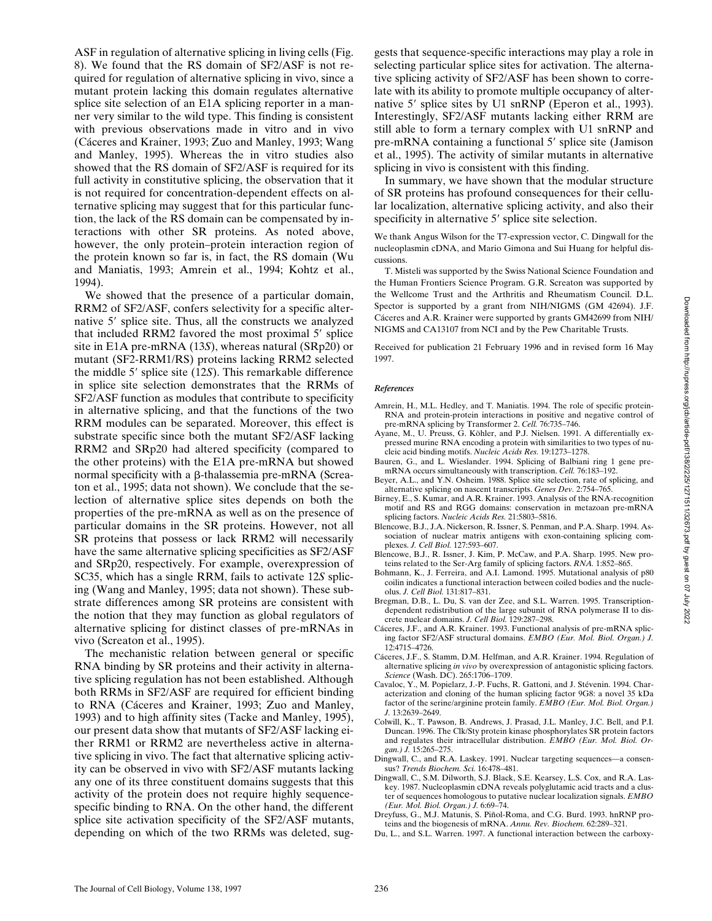ASF in regulation of alternative splicing in living cells (Fig. 8). We found that the RS domain of SF2/ASF is not required for regulation of alternative splicing in vivo, since a mutant protein lacking this domain regulates alternative splice site selection of an E1A splicing reporter in a manner very similar to the wild type. This finding is consistent with previous observations made in vitro and in vivo (Cáceres and Krainer, 1993; Zuo and Manley, 1993; Wang and Manley, 1995). Whereas the in vitro studies also showed that the RS domain of SF2/ASF is required for its full activity in constitutive splicing, the observation that it is not required for concentration-dependent effects on alternative splicing may suggest that for this particular function, the lack of the RS domain can be compensated by interactions with other SR proteins. As noted above, however, the only protein–protein interaction region of the protein known so far is, in fact, the RS domain (Wu and Maniatis, 1993; Amrein et al., 1994; Kohtz et al., 1994).

We showed that the presence of a particular domain, RRM2 of SF2/ASF, confers selectivity for a specific alternative 5' splice site. Thus, all the constructs we analyzed that included RRM2 favored the most proximal  $5'$  splice site in E1A pre-mRNA (13*S*), whereas natural (SRp20) or mutant (SF2-RRM1/RS) proteins lacking RRM2 selected the middle 5' splice site (12*S*). This remarkable difference in splice site selection demonstrates that the RRMs of SF2/ASF function as modules that contribute to specificity in alternative splicing, and that the functions of the two RRM modules can be separated. Moreover, this effect is substrate specific since both the mutant SF2/ASF lacking RRM2 and SRp20 had altered specificity (compared to the other proteins) with the E1A pre-mRNA but showed normal specificity with a  $\beta$ -thalassemia pre-mRNA (Screaton et al., 1995; data not shown). We conclude that the selection of alternative splice sites depends on both the properties of the pre-mRNA as well as on the presence of particular domains in the SR proteins. However, not all SR proteins that possess or lack RRM2 will necessarily have the same alternative splicing specificities as SF2/ASF and SRp20, respectively. For example, overexpression of SC35, which has a single RRM, fails to activate 12*S* splicing (Wang and Manley, 1995; data not shown). These substrate differences among SR proteins are consistent with the notion that they may function as global regulators of alternative splicing for distinct classes of pre-mRNAs in vivo (Screaton et al., 1995).

The mechanistic relation between general or specific RNA binding by SR proteins and their activity in alternative splicing regulation has not been established. Although both RRMs in SF2/ASF are required for efficient binding to RNA (Cáceres and Krainer, 1993; Zuo and Manley, 1993) and to high affinity sites (Tacke and Manley, 1995), our present data show that mutants of SF2/ASF lacking either RRM1 or RRM2 are nevertheless active in alternative splicing in vivo. The fact that alternative splicing activity can be observed in vivo with SF2/ASF mutants lacking any one of its three constituent domains suggests that this activity of the protein does not require highly sequencespecific binding to RNA. On the other hand, the different splice site activation specificity of the SF2/ASF mutants, depending on which of the two RRMs was deleted, sug-

gests that sequence-specific interactions may play a role in selecting particular splice sites for activation. The alternative splicing activity of SF2/ASF has been shown to correlate with its ability to promote multiple occupancy of alternative 5' splice sites by U1 snRNP (Eperon et al., 1993). Interestingly, SF2/ASF mutants lacking either RRM are still able to form a ternary complex with U1 snRNP and pre-mRNA containing a functional 5' splice site (Jamison et al., 1995). The activity of similar mutants in alternative splicing in vivo is consistent with this finding.

In summary, we have shown that the modular structure of SR proteins has profound consequences for their cellular localization, alternative splicing activity, and also their specificity in alternative  $5'$  splice site selection.

We thank Angus Wilson for the T7-expression vector, C. Dingwall for the nucleoplasmin cDNA, and Mario Gimona and Sui Huang for helpful discussions.

T. Misteli was supported by the Swiss National Science Foundation and the Human Frontiers Science Program. G.R. Screaton was supported by the Wellcome Trust and the Arthritis and Rheumatism Council. D.L. Spector is supported by a grant from NIH/NIGMS (GM 42694). J.F. Cáceres and A.R. Krainer were supported by grants GM42699 from NIH/ NIGMS and CA13107 from NCI and by the Pew Charitable Trusts.

Received for publication 21 February 1996 and in revised form 16 May 1997.

#### *References*

- Amrein, H., M.L. Hedley, and T. Maniatis. 1994. The role of specific protein-RNA and protein-protein interactions in positive and negative control of pre-mRNA splicing by Transformer 2. *Cell.* 76:735–746.
- Ayane, M., U. Preuss, G. Köhler, and P.J. Nielsen. 1991. A differentially expressed murine RNA encoding a protein with similarities to two types of nucleic acid binding motifs. *Nucleic Acids Res.* 19:1273–1278.
- Bauren, G., and L. Wieslander. 1994. Splicing of Balbiani ring 1 gene premRNA occurs simultaneously with transcription. *Cell.* 76:183–192.
- Beyer, A.L., and Y.N. Osheim. 1988. Splice site selection, rate of splicing, and alternative splicing on nascent transcripts. *Genes Dev.* 2:754–765.
- Birney, E., S. Kumar, and A.R. Krainer. 1993. Analysis of the RNA-recognition motif and RS and RGG domains: conservation in metazoan pre-mRNA splicing factors. *Nucleic Acids Res.* 21:5803–5816.
- Blencowe, B.J., J.A. Nickerson, R. Issner, S. Penman, and P.A. Sharp. 1994. Association of nuclear matrix antigens with exon-containing splicing complexes. *J. Cell Biol.* 127:593–607.
- Blencowe, B.J., R. Issner, J. Kim, P. McCaw, and P.A. Sharp. 1995. New proteins related to the Ser-Arg family of splicing factors. *RNA.* 1:852–865.
- Bohmann, K., J. Ferreira, and A.I. Lamond. 1995. Mutational analysis of p80 coilin indicates a functional interaction between coiled bodies and the nucleolus. *J. Cell Biol.* 131:817–831.
- Bregman, D.B., L. Du, S. van der Zee, and S.L. Warren. 1995. Transcriptiondependent redistribution of the large subunit of RNA polymerase II to discrete nuclear domains. *J. Cell Biol.* 129:287–298.
- Cáceres, J.F., and A.R. Krainer. 1993. Functional analysis of pre-mRNA splicing factor SF2/ASF structural domains. *EMBO (Eur. Mol. Biol. Organ.) J.* 12:4715–4726.
- Cáceres, J.F., S. Stamm, D.M. Helfman, and A.R. Krainer. 1994. Regulation of alternative splicing *in vivo* by overexpression of antagonistic splicing factors. *Science* (Wash. DC). 265:1706–1709.
- Cavaloc, Y., M. Popielarz, J.-P. Fuchs, R. Gattoni, and J. Stévenin. 1994. Characterization and cloning of the human splicing factor 9G8: a novel 35 kDa factor of the serine/arginine protein family. *EMBO (Eur. Mol. Biol. Organ.) J.* 13:2639–2649.
- Colwill, K., T. Pawson, B. Andrews, J. Prasad, J.L. Manley, J.C. Bell, and P.I. Duncan. 1996. The Clk/Sty protein kinase phosphorylates SR protein factors and regulates their intracellular distribution. *EMBO (Eur. Mol. Biol. Organ.) J.* 15:265–275.
- Dingwall, C., and R.A. Laskey. 1991. Nuclear targeting sequences—a consensus? *Trends Biochem. Sci.* 16:478–481.
- Dingwall, C., S.M. Dilworth, S.J. Black, S.E. Kearsey, L.S. Cox, and R.A. Laskey. 1987. Nucleoplasmin cDNA reveals polyglutamic acid tracts and a cluster of sequences homologous to putative nuclear localization signals. *EMBO (Eur. Mol. Biol. Organ.) J.* 6:69–74.
- Dreyfuss, G., M.J. Matunis, S. Piñol-Roma, and C.G. Burd. 1993. hnRNP proteins and the biogenesis of mRNA. *Annu. Rev. Biochem.* 62:289–321.
- Du, L., and S.L. Warren. 1997. A functional interaction between the carboxy-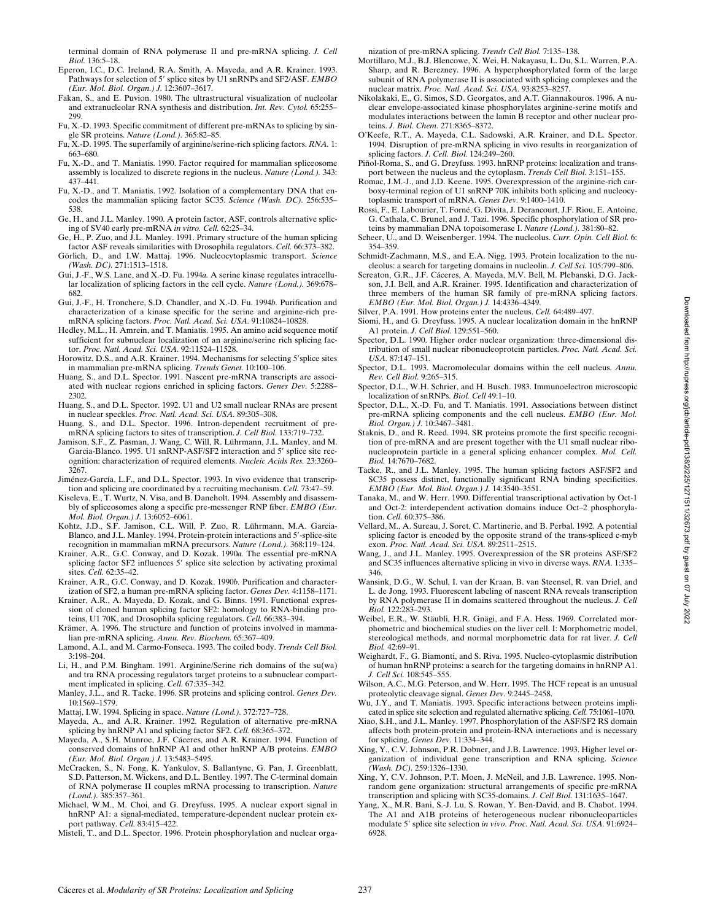terminal domain of RNA polymerase II and pre-mRNA splicing. *J. Cell Biol.* 136:5–18.

- Eperon, I.C., D.C. Ireland, R.A. Smith, A. Mayeda, and A.R. Krainer. 1993. Pathways for selection of 5' splice sites by U1 snRNPs and SF2/ASF. *EMBO (Eur. Mol. Biol. Organ.) J.* 12:3607–3617.
- Fakan, S., and E. Puvion. 1980. The ultrastructural visualization of nucleolar and extranucleolar RNA synthesis and distribution. *Int. Rev. Cytol.* 65:255– 299.
- Fu, X.-D. 1993. Specific commitment of different pre-mRNAs to splicing by single SR proteins. *Nature (Lond.).* 365:82–85.
- Fu, X.-D. 1995. The superfamily of arginine/serine-rich splicing factors. *RNA.* 1: 663–680.
- Fu, X.-D., and T. Maniatis. 1990. Factor required for mammalian spliceosome assembly is localized to discrete regions in the nucleus. *Nature (Lond.).* 343: 437–441.
- Fu, X.-D., and T. Maniatis. 1992. Isolation of a complementary DNA that encodes the mammalian splicing factor SC35. *Science (Wash. DC).* 256:535– 538.
- Ge, H., and J.L. Manley. 1990. A protein factor, ASF, controls alternative splicing of SV40 early pre-mRNA *in vitro. Cell.* 62:25–34.
- Ge, H., P. Zuo, and J.L. Manley. 1991. Primary structure of the human splicing factor ASF reveals similarities with Drosophila regulators. *Cell.* 66:373–382.
- Görlich, D., and I.W. Mattaj. 1996. Nucleocytoplasmic transport. *Science (Wash. DC).* 271:1513–1518.
- Gui, J.-F., W.S. Lane, and X.-D. Fu. 1994*a.* A serine kinase regulates intracellular localization of splicing factors in the cell cycle. *Nature (Lond.).* 369:678– 682.
- Gui, J.-F., H. Tronchere, S.D. Chandler, and X.-D. Fu. 1994*b.* Purification and characterization of a kinase specific for the serine and arginine-rich premRNA splicing factors. *Proc. Natl. Acad. Sci. USA.* 91:10824–10828.
- Hedley, M.L., H. Amrein, and T. Maniatis. 1995. An amino acid sequence motif sufficient for subnuclear localization of an arginine/serine rich splicing factor. *Proc. Natl. Acad. Sci. USA.* 92:11524–11528.
- Horowitz, D.S., and A.R. Krainer. 1994. Mechanisms for selecting 5'splice sites in mammalian pre-mRNA splicing. *Trends Genet.* 10:100–106.
- Huang, S., and D.L. Spector. 1991. Nascent pre-mRNA transcripts are associated with nuclear regions enriched in splicing factors. *Genes Dev.* 5:2288– 2302.
- Huang, S., and D.L. Spector. 1992. U1 and U2 small nuclear RNAs are present in nuclear speckles. *Proc. Natl. Acad. Sci. USA.* 89:305–308.
- Huang, S., and D.L. Spector. 1996. Intron-dependent recruitment of premRNA splicing factors to sites of transcription. *J. Cell Biol.* 133:719–732.
- Jamison, S.F., Z. Pasman, J. Wang, C. Will, R. Lührmann, J.L. Manley, and M. Garcia-Blanco. 1995. U1 snRNP-ASF/SF2 interaction and 5' splice site recognition: characterization of required elements. *Nucleic Acids Res.* 23:3260– 3267.
- Jiménez-García, L.F., and D.L. Spector. 1993. In vivo evidence that transcription and splicing are coordinated by a recruiting mechanism. *Cell.* 73:47–59.
- Kiseleva, E., T. Wurtz, N. Visa, and B. Daneholt. 1994. Assembly and disassembly of spliceosomes along a specific pre-messenger RNP fiber. *EMBO (Eur. Mol. Biol. Organ.) J.* 13:6052–6061.
- Kohtz, J.D., S.F. Jamison, C.L. Will, P. Zuo, R. Lührmann, M.A. Garcia-Blanco, and J.L. Manley. 1994. Protein-protein interactions and 5'-splice-site recognition in mammalian mRNA precursors. *Nature (Lond.).* 368:119–124.
- Krainer, A.R., G.C. Conway, and D. Kozak. 1990*a.* The essential pre-mRNA splicing factor SF2 influences 5' splice site selection by activating proximal sites. *Cell.* 62:35–42.
- Krainer, A.R., G.C. Conway, and D. Kozak. 1990*b.* Purification and characterization of SF2, a human pre-mRNA splicing factor. *Genes Dev.* 4:1158–1171.
- Krainer, A.R., A. Mayeda, D. Kozak, and G. Binns. 1991. Functional expression of cloned human splicing factor SF2: homology to RNA-binding proteins, U1 70K, and Drosophila splicing regulators. *Cell.* 66:383–394.
- Krämer, A. 1996. The structure and function of proteins involved in mammalian pre-mRNA splicing. *Annu. Rev. Biochem.* 65:367–409.
- Lamond, A.I., and M. Carmo-Fonseca. 1993. The coiled body. *Trends Cell Biol.* 3:198–204.
- Li, H., and P.M. Bingham. 1991. Arginine/Serine rich domains of the su(wa) and tra RNA processing regulators target proteins to a subnuclear compartment implicated in splicing. *Cell.* 67:335–342.
- Manley, J.L., and R. Tacke. 1996. SR proteins and splicing control. *Genes Dev.* 10:1569–1579.
- Mattaj, I.W. 1994. Splicing in space. *Nature (Lond.).* 372:727–728.
- Mayeda, A., and A.R. Krainer. 1992. Regulation of alternative pre-mRNA splicing by hnRNP A1 and splicing factor SF2. *Cell.* 68:365–372.
- Mayeda, A., S.H. Munroe, J.F. Cáceres, and A.R. Krainer. 1994. Function of conserved domains of hnRNP A1 and other hnRNP A/B proteins. *EMBO (Eur. Mol. Biol. Organ.) J.* 13:5483–5495.
- McCracken, S., N. Fong, K. Yankulov, S. Ballantyne, G. Pan, J. Greenblatt, S.D. Patterson, M. Wickens, and D.L. Bentley. 1997. The C-terminal domain of RNA polymerase II couples mRNA processing to transcription. *Nature (Lond.).* 385:357–361.
- Michael, W.M., M. Choi, and G. Dreyfuss. 1995. A nuclear export signal in hnRNP A1: a signal-mediated, temperature-dependent nuclear protein export pathway. *Cell.* 83:415–422.
- Misteli, T., and D.L. Spector. 1996. Protein phosphorylation and nuclear orga-

nization of pre-mRNA splicing. *Trends Cell Biol.* 7:135–138.

- Mortillaro, M.J., B.J. Blencowe, X. Wei, H. Nakayasu, L. Du, S.L. Warren, P.A. Sharp, and R. Berezney. 1996. A hyperphosphorylated form of the large subunit of RNA polymerase II is associated with splicing complexes and the nuclear matrix. *Proc. Natl. Acad. Sci. USA.* 93:8253–8257.
- Nikolakaki, E., G. Simos, S.D. Georgatos, and A.T. Giannakouros. 1996. A nuclear envelope-associated kinase phosphorylates arginine-serine motifs and modulates interactions between the lamin B receptor and other nuclear proteins. *J. Biol. Chem.* 271:8365–8372.
- O'Keefe, R.T., A. Mayeda, C.L. Sadowski, A.R. Krainer, and D.L. Spector. 1994. Disruption of pre-mRNA splicing in vivo results in reorganization of splicing factors. *J. Cell. Biol.* 124:249–260.
- Piñol-Roma, S., and G. Dreyfuss. 1993. hnRNP proteins: localization and transport between the nucleus and the cytoplasm. *Trends Cell Biol.* 3:151–155.
- Romac, J.M.-J., and J.D. Keene. 1995. Overexpression of the arginine-rich carboxy-terminal region of U1 snRNP 70K inhibits both splicing and nucleocytoplasmic transport of mRNA. *Genes Dev.* 9:1400–1410.
- Rossi, F., E. Labourier, T. Forné, G. Divita, J. Derancourt, J.F. Riou, E. Antoine, G. Cathala, C. Brunel, and J. Tazi. 1996. Specific phosphorylation of SR proteins by mammalian DNA topoisomerase I. *Nature (Lond.).* 381:80–82.
- Scheer, U., and D. Weisenberger. 1994. The nucleolus. *Curr. Opin. Cell Biol.* 6: 354–359.
- Schmidt-Zachmann, M.S., and E.A. Nigg. 1993. Protein localization to the nucleolus: a search for targeting domains in nucleolin. *J. Cell Sci.* 105:799–806.
- Screaton, G.R., J.F. Cáceres, A. Mayeda, M.V. Bell, M. Plebanski, D.G. Jackson, J.I. Bell, and A.R. Krainer. 1995. Identification and characterization of three members of the human SR family of pre-mRNA splicing factors. *EMBO (Eur. Mol. Biol. Organ.) J.* 14:4336–4349.
- Silver, P.A. 1991. How proteins enter the nucleus. *Cell.* 64:489–497.
- Siomi, H., and G. Dreyfuss. 1995. A nuclear localization domain in the hnRNP A1 protein. *J. Cell Biol.* 129:551–560.
- Spector, D.L. 1990. Higher order nuclear organization: three-dimensional distribution of small nuclear ribonucleoprotein particles. *Proc. Natl. Acad. Sci. USA.* 87:147–151.
- Spector, D.L. 1993. Macromolecular domains within the cell nucleus. *Annu. Rev. Cell Biol.* 9:265–315.
- Spector, D.L., W.H. Schrier, and H. Busch. 1983. Immunoelectron microscopic localization of snRNPs. *Biol. Cell* 49:1–10.
- Spector, D.L., X.-D. Fu, and T. Maniatis. 1991. Associations between distinct pre-mRNA splicing components and the cell nucleus. *EMBO (Eur. Mol. Biol. Organ.) J.* 10:3467–3481.
- Staknis, D., and R. Reed. 1994. SR proteins promote the first specific recognition of pre-mRNA and are present together with the U1 small nuclear ribonucleoprotein particle in a general splicing enhancer complex. *Mol. Cell. Biol.* 14:7670–7682.
- Tacke, R., and J.L. Manley. 1995. The human splicing factors ASF/SF2 and SC35 possess distinct, functionally significant RNA binding specificities. *EMBO (Eur. Mol. Biol. Organ.) J.* 14:3540–3551.
- Tanaka, M., and W. Herr. 1990. Differential transcriptional activation by Oct-1 and Oct-2: interdependent activation domains induce Oct–2 phosphorylation. *Cell.* 60:375–386.
- Vellard, M., A. Sureau, J. Soret, C. Martinerie, and B. Perbal. 1992. A potential splicing factor is encoded by the opposite strand of the trans-spliced c-myb exon. *Proc. Natl. Acad. Sci. USA.* 89:2511–2515.
- Wang, J., and J.L. Manley. 1995. Overexpression of the SR proteins ASF/SF2 and SC35 influences alternative splicing in vivo in diverse ways. *RNA.* 1:335– 346.
- Wansink, D.G., W. Schul, I. van der Kraan, B. van Steensel, R. van Driel, and L. de Jong. 1993. Fluorescent labeling of nascent RNA reveals transcription by RNA polymerase II in domains scattered throughout the nucleus. *J. Cell Biol.* 122:283–293.
- Weibel, E.R., W. Stäubli, H.R. Gnägi, and F.A. Hess. 1969. Correlated morphometric and biochemical studies on the liver cell. I: Morphometric model, stereological methods, and normal morphometric data for rat liver. *J. Cell Biol.* 42:69–91.
- Weighardt, F., G. Biamonti, and S. Riva. 1995. Nucleo-cytoplasmic distribution of human hnRNP proteins: a search for the targeting domains in hnRNP A1. *J. Cell Sci.* 108:545–555.
- Wilson, A.C., M.G. Peterson, and W. Herr. 1995. The HCF repeat is an unusual proteolytic cleavage signal. *Genes Dev.* 9:2445–2458.
- Wu, J.Y., and T. Maniatis. 1993. Specific interactions between proteins implicated in splice site selection and regulated alternative splicing. *Cell.* 75:1061–1070.
- Xiao, S.H., and J.L. Manley. 1997. Phosphorylation of the ASF/SF2 RS domain affects both protein-protein and protein-RNA interactions and is necessary for splicing. *Genes Dev.* 11:334–344.
- Xing, Y., C.V. Johnson, P.R. Dobner, and J.B. Lawrence. 1993. Higher level organization of individual gene transcription and RNA splicing. *Science (Wash. DC).* 259:1326–1330.
- Xing, Y, C.V. Johnson, P.T. Moen, J. McNeil, and J.B. Lawrence. 1995. Nonrandom gene organization: structural arrangements of specific pre-mRNA transcription and splicing with SC35-domains. *J. Cell Biol.* 131:1635–1647.
- Yang, X., M.R. Bani, S.-J. Lu, S. Rowan, Y. Ben-David, and B. Chabot. 1994. The A1 and A1B proteins of heterogeneous nuclear ribonucleoparticles modulate 5' splice site selection *in vivo. Proc. Natl. Acad. Sci. USA*. 91:6924– 6928.